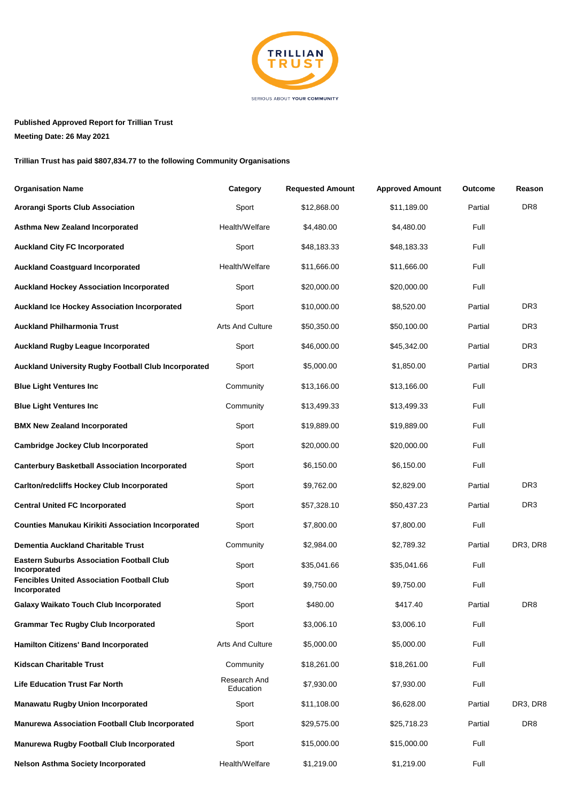

**Published Approved Report for Trillian Trust**

**Meeting Date: 26 May 2021**

**Trillian Trust has paid \$807,834.77 to the following Community Organisations**

| <b>Organisation Name</b>                                          | Category                  | <b>Requested Amount</b> | <b>Approved Amount</b> | <b>Outcome</b> | Reason          |
|-------------------------------------------------------------------|---------------------------|-------------------------|------------------------|----------------|-----------------|
| <b>Arorangi Sports Club Association</b>                           | Sport                     | \$12,868.00             | \$11,189.00            | Partial        | DR <sub>8</sub> |
| Asthma New Zealand Incorporated                                   | Health/Welfare            | \$4,480.00              | \$4,480.00             | Full           |                 |
| <b>Auckland City FC Incorporated</b>                              | Sport                     | \$48,183.33             | \$48,183.33            | Full           |                 |
| <b>Auckland Coastguard Incorporated</b>                           | Health/Welfare            | \$11,666.00             | \$11,666.00            | Full           |                 |
| <b>Auckland Hockey Association Incorporated</b>                   | Sport                     | \$20,000.00             | \$20,000.00            | Full           |                 |
| <b>Auckland Ice Hockey Association Incorporated</b>               | Sport                     | \$10,000.00             | \$8,520.00             | Partial        | DR <sub>3</sub> |
| <b>Auckland Philharmonia Trust</b>                                | <b>Arts And Culture</b>   | \$50,350.00             | \$50,100.00            | Partial        | DR <sub>3</sub> |
| <b>Auckland Rugby League Incorporated</b>                         | Sport                     | \$46,000.00             | \$45,342.00            | Partial        | DR <sub>3</sub> |
| <b>Auckland University Rugby Football Club Incorporated</b>       | Sport                     | \$5,000.00              | \$1,850.00             | Partial        | DR3             |
| <b>Blue Light Ventures Inc.</b>                                   | Community                 | \$13,166.00             | \$13,166.00            | Full           |                 |
| <b>Blue Light Ventures Inc</b>                                    | Community                 | \$13,499.33             | \$13,499.33            | Full           |                 |
| <b>BMX New Zealand Incorporated</b>                               | Sport                     | \$19,889.00             | \$19,889.00            | Full           |                 |
| <b>Cambridge Jockey Club Incorporated</b>                         | Sport                     | \$20,000.00             | \$20,000.00            | Full           |                 |
| <b>Canterbury Basketball Association Incorporated</b>             | Sport                     | \$6,150.00              | \$6,150.00             | Full           |                 |
| <b>Carlton/redcliffs Hockey Club Incorporated</b>                 | Sport                     | \$9,762.00              | \$2,829.00             | Partial        | DR3             |
| <b>Central United FC Incorporated</b>                             | Sport                     | \$57,328.10             | \$50,437.23            | Partial        | DR3             |
| <b>Counties Manukau Kirikiti Association Incorporated</b>         | Sport                     | \$7,800.00              | \$7,800.00             | Full           |                 |
| <b>Dementia Auckland Charitable Trust</b>                         | Community                 | \$2,984.00              | \$2,789.32             | Partial        | DR3, DR8        |
| <b>Eastern Suburbs Association Football Club</b><br>Incorporated  | Sport                     | \$35,041.66             | \$35,041.66            | Full           |                 |
| <b>Fencibles United Association Football Club</b><br>Incorporated | Sport                     | \$9,750.00              | \$9,750.00             | Full           |                 |
| <b>Galaxy Waikato Touch Club Incorporated</b>                     | Sport                     | \$480.00                | \$417.40               | Partial        | DR <sub>8</sub> |
| <b>Grammar Tec Rugby Club Incorporated</b>                        | Sport                     | \$3,006.10              | \$3,006.10             | Full           |                 |
| <b>Hamilton Citizens' Band Incorporated</b>                       | Arts And Culture          | \$5,000.00              | \$5,000.00             | Full           |                 |
| <b>Kidscan Charitable Trust</b>                                   | Community                 | \$18,261.00             | \$18,261.00            | Full           |                 |
| <b>Life Education Trust Far North</b>                             | Research And<br>Education | \$7,930.00              | \$7,930.00             | Full           |                 |
| <b>Manawatu Rugby Union Incorporated</b>                          | Sport                     | \$11,108.00             | \$6,628.00             | Partial        | DR3, DR8        |
| <b>Manurewa Association Football Club Incorporated</b>            | Sport                     | \$29,575.00             | \$25,718.23            | Partial        | DR <sub>8</sub> |
| <b>Manurewa Rugby Football Club Incorporated</b>                  | Sport                     | \$15,000.00             | \$15,000.00            | Full           |                 |
| <b>Nelson Asthma Society Incorporated</b>                         | Health/Welfare            | \$1,219.00              | \$1,219.00             | Full           |                 |